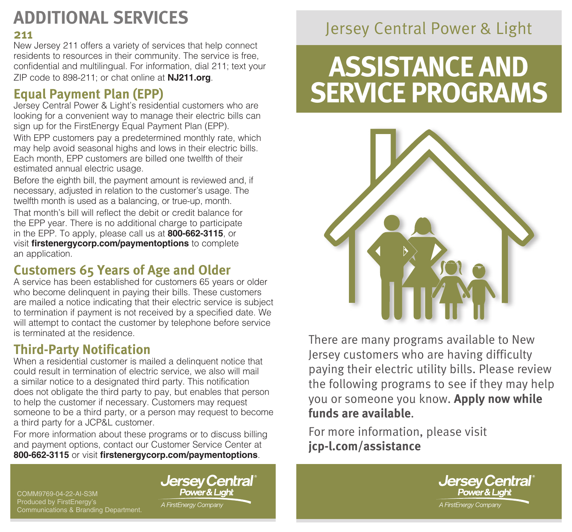## **ADDITIONAL SERVICES**

#### **211**

New Jersey 211 offers a variety of services that help connect residents to resources in their community. The service is free, confidential and multilingual. For information, dial 211; text your ZIP code to 898-211; or chat online at **[NJ211.org](https://nj211.org/)**.

### **Equal Payment Plan (EPP)**

Jersey Central Power & Light's residential customers who are looking for a convenient way to manage their electric bills can sign up for the FirstEnergy Equal Payment Plan (EPP).

With EPP customers pay a predetermined monthly rate, which may help avoid seasonal highs and lows in their electric bills. Each month, EPP customers are billed one twelfth of their estimated annual electric usage.

Before the eighth bill, the payment amount is reviewed and, if necessary, adjusted in relation to the customer's usage. The twelfth month is used as a balancing, or true-up, month.

That month's bill will reflect the debit or credit balance for the EPP year. There is no additional charge to participate in the EPP. To apply, please call us at **800-662-3115**, or visit **firstenergycorp.com/paymentoptions** to complete an application.

#### **Customers 65 Years of Age and Older**

A service has been established for customers 65 years or older who become delinquent in paying their bills. These customers are mailed a notice indicating that their electric service is subject to termination if payment is not received by a specified date. We will attempt to contact the customer by telephone before service is terminated at the residence.

### **Third-Party Notification**

When a residential customer is mailed a delinguent notice that could result in termination of electric service, we also will mail a similar notice to a designated third party. This notification does not obligate the third party to pay, but enables that person to help the customer if necessary. Customers may request someone to be a third party, or a person may request to become a third party for a JCP&L customer.

For more information about these programs or to discuss billing and payment options, contact our Customer Service Center at **800-662-3115** or visit **[firstenergycorp.com/paymentoptions](https://firstenergycorp.com/help/billingpayments.html)**.

COMM9769-04-22-AI-S3M Produced by FirstEnergy's Communications & Branding Department. **Jersey Central** Power & Light

A FirstEnergy Company

### Jersey Central Power & Light

# **ASSISTANCE AND SERVICE PROGRAMS**



There are many programs available to New Jersey customers who are having difficulty paying their electric utility bills. Please review the following programs to see if they may help you or someone you know. **Apply now while funds are available**.

For more information, please visit **jcp-l.com/assistance**